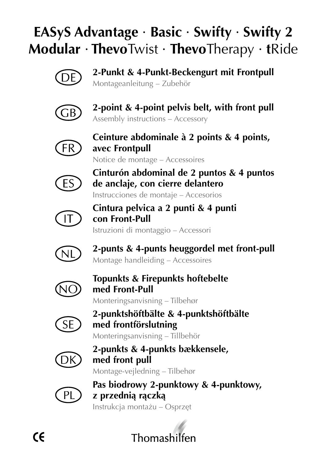# **EASyS Advantage** · **Basic** · **Swifty** · **Swifty 2 Modular** · **Thevo**Twist · **Thevo**Therapy · **t**Ride



**2-Punkt & 4-Punkt-Beckengurt mit Frontpull** Montageanleitung – Zubehör



**2-point & 4-point pelvis belt, with front pull** Assembly instructions – Accessory



**Ceinture abdominale à 2 points & 4 points, avec Frontpull**

Notice de montage – Accessoires



**Cinturón abdominal de 2 puntos & 4 puntos de anclaje, con cierre delantero**

Instrucciones de montaje – Accesorios



**Cintura pelvica a 2 punti & 4 punti con Front-Pull** Istruzioni di montaggio – Accessori



**2-punts & 4-punts heuggordel met front-pull** Montage handleiding – Accessoires



**Topunkts & Firepunkts hoftebelte med Front-Pull**

Monteringsanvisning – Tilbehør



**2-punktshöftbälte & 4-punktshöftbälte med frontförslutning**

Monteringsanvisning – Tillbehör



**2-punkts & 4-punkts bækkensele, med front pull** Montage-vejledning – Tilbehør



**Pas biodrowy 2-punktowy & 4-punktowy, z przednią rączką** Instrukcja montażu – Osprzęt

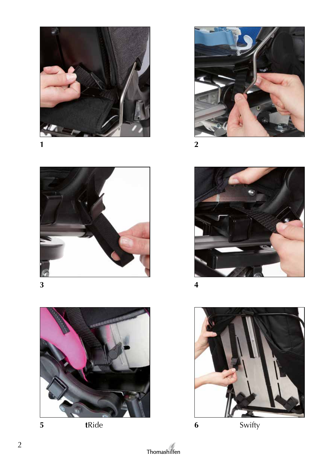

**2**



**4**



**5 t**Ride **6** Swifty







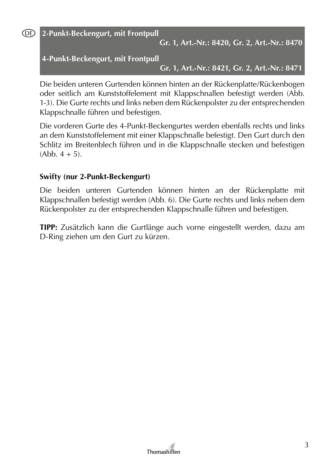**DE** 

**2-Punkt-Beckengurt, mit Frontpull**

**Gr. 1, Art.-Nr.: 8420, Gr. 2, Art.-Nr.: 8470**

**4-Punkt-Beckengurt, mit Frontpull**

**Gr. 1, Art.-Nr.: 8421, Gr. 2, Art.-Nr.: 8471**

Die beiden unteren Gurtenden können hinten an der Rückenplatte/Rückenbogen oder seitlich am Kunststoffelement mit Klappschnallen befestigt werden (Abb. 1-3). Die Gurte rechts und links neben dem Rückenpolster zu der entsprechenden Klappschnalle führen und befestigen.

Die vorderen Gurte des 4-Punkt-Beckengurtes werden ebenfalls rechts und links an dem Kunststoffelement mit einer Klappschnalle befestigt. Den Gurt durch den Schlitz im Breitenblech führen und in die Klappschnalle stecken und befestigen  $(Abb, 4 + 5)$ .

#### **Swifty (nur 2-Punkt-Beckengurt)**

Die beiden unteren Gurtenden können hinten an der Rückenplatte mit Klappschnallen befestigt werden (Abb. 6). Die Gurte rechts und links neben dem Rückenpolster zu der entsprechenden Klappschnalle führen und befestigen.

**TIPP:** Zusätzlich kann die Gurtlänge auch vorne eingestellt werden, dazu am D-Ring ziehen um den Gurt zu kürzen.

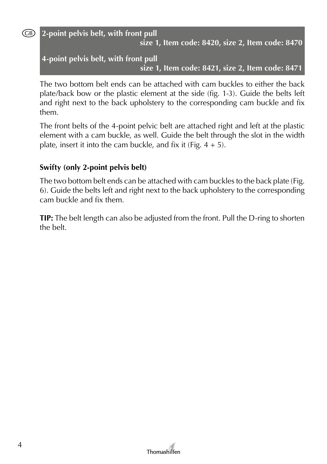(GB)

# **2-point pelvis belt, with front pull**

**size 1, Item code: 8420, size 2, Item code: 8470**

**4-point pelvis belt, with front pull size 1, Item code: 8421, size 2, Item code: 8471**

The two bottom belt ends can be attached with cam buckles to either the back plate/back bow or the plastic element at the side (fig. 1-3). Guide the belts left and right next to the back upholstery to the corresponding cam buckle and fix them.

The front belts of the 4-point pelvic belt are attached right and left at the plastic element with a cam buckle, as well. Guide the belt through the slot in the width plate, insert it into the cam buckle, and fix it (Fig.  $4 + 5$ ).

# **Swifty (only 2-point pelvis belt)**

The two bottom belt ends can be attached with cam buckles to the back plate (Fig. 6). Guide the belts left and right next to the back upholstery to the corresponding cam buckle and fix them.

**TIP:** The belt length can also be adjusted from the front. Pull the D-ring to shorten the belt.

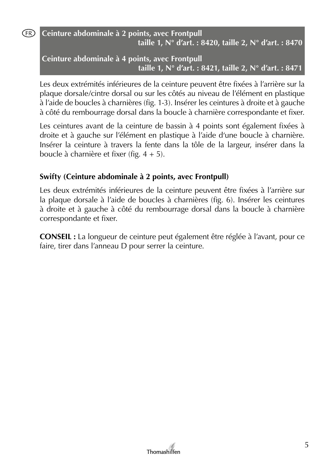(FR)

# **Ceinture abdominale à 2 points, avec Frontpull taille 1, N° d'art. : 8420, taille 2, N° d'art. : 8470**

**Ceinture abdominale à 4 points, avec Frontpull taille 1, N° d'art. : 8421, taille 2, N° d'art. : 8471**

Les deux extrémités inférieures de la ceinture peuvent être fixées à l'arrière sur la plaque dorsale/cintre dorsal ou sur les côtés au niveau de l'élément en plastique à l'aide de boucles à charnières (fig. 1-3). Insérer les ceintures à droite et à gauche à côté du rembourrage dorsal dans la boucle à charnière correspondante et fixer.

Les ceintures avant de la ceinture de bassin à 4 points sont également fixées à droite et à gauche sur l'élément en plastique à l'aide d'une boucle à charnière. Insérer la ceinture à travers la fente dans la tôle de la largeur, insérer dans la boucle à charnière et fixer (fig. 4 + 5).

# **Swifty (Ceinture abdominale à 2 points, avec Frontpull)**

Les deux extrémités inférieures de la ceinture peuvent être fixées à l'arrière sur la plaque dorsale à l'aide de boucles à charnières (fig. 6). Insérer les ceintures à droite et à gauche à côté du rembourrage dorsal dans la boucle à charnière correspondante et fixer.

**CONSEIL :** La longueur de ceinture peut également être réglée à l'avant, pour ce faire, tirer dans l'anneau D pour serrer la ceinture.

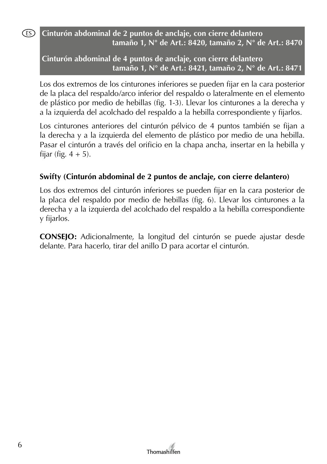### **Cinturón abdominal de 2 puntos de anclaje, con cierre delantero tamaño 1, N° de Art.: 8420, tamaño 2, N° de Art.: 8470**

**Cinturón abdominal de 4 puntos de anclaje, con cierre delantero tamaño 1, N° de Art.: 8421, tamaño 2, N° de Art.: 8471**

Los dos extremos de los cinturones inferiores se pueden fijar en la cara posterior de la placa del respaldo/arco inferior del respaldo o lateralmente en el elemento de plástico por medio de hebillas (fig. 1-3). Llevar los cinturones a la derecha y a la izquierda del acolchado del respaldo a la hebilla correspondiente y fijarlos.

Los cinturones anteriores del cinturón pélvico de 4 puntos también se fijan a la derecha y a la izquierda del elemento de plástico por medio de una hebilla. Pasar el cinturón a través del orificio en la chapa ancha, insertar en la hebilla y fijar (fig.  $4 + 5$ ).

# **Swifty (Cinturón abdominal de 2 puntos de anclaje, con cierre delantero)**

Los dos extremos del cinturón inferiores se pueden fijar en la cara posterior de la placa del respaldo por medio de hebillas (fig. 6). Llevar los cinturones a la derecha y a la izquierda del acolchado del respaldo a la hebilla correspondiente y fijarlos.

**CONSEJO:** Adicionalmente, la longitud del cinturón se puede ajustar desde delante. Para hacerlo, tirar del anillo D para acortar el cinturón.



(ES)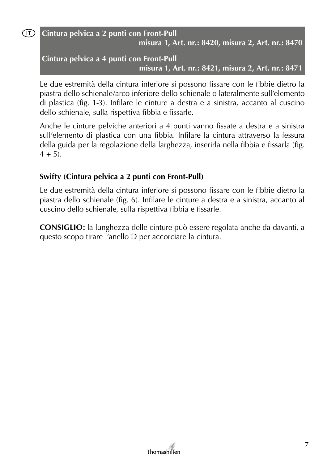$(T)$ 

# **Cintura pelvica a 2 punti con Front-Pull misura 1, Art. nr.: 8420, misura 2, Art. nr.: 8470**

# **Cintura pelvica a 4 punti con Front-Pull misura 1, Art. nr.: 8421, misura 2, Art. nr.: 8471**

Le due estremità della cintura inferiore si possono fissare con le fibbie dietro la piastra dello schienale/arco inferiore dello schienale o lateralmente sull'elemento di plastica (fig. 1-3). Infilare le cinture a destra e a sinistra, accanto al cuscino dello schienale, sulla rispettiva fibbia e fissarle.

Anche le cinture pelviche anteriori a 4 punti vanno fissate a destra e a sinistra sull'elemento di plastica con una fibbia. Infilare la cintura attraverso la fessura della guida per la regolazione della larghezza, inserirla nella fibbia e fissarla (fig.  $4 + 5$ ).

# **Swifty (Cintura pelvica a 2 punti con Front-Pull)**

Le due estremità della cintura inferiore si possono fissare con le fibbie dietro la piastra dello schienale (fig. 6). Infilare le cinture a destra e a sinistra, accanto al cuscino dello schienale, sulla rispettiva fibbia e fissarle.

**CONSIGLIO:** la lunghezza delle cinture può essere regolata anche da davanti, a questo scopo tirare l'anello D per accorciare la cintura.

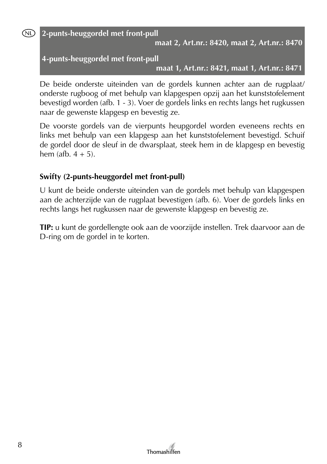(NL)

**2-punts-heuggordel met front-pull**

**maat 2, Art.nr.: 8420, maat 2, Art.nr.: 8470**

#### **4-punts-heuggordel met front-pull**

**maat 1, Art.nr.: 8421, maat 1, Art.nr.: 8471**

De beide onderste uiteinden van de gordels kunnen achter aan de rugplaat/ onderste rugboog of met behulp van klapgespen opzij aan het kunststofelement bevestigd worden (afb. 1 - 3). Voer de gordels links en rechts langs het rugkussen naar de gewenste klapgesp en bevestig ze.

De voorste gordels van de vierpunts heupgordel worden eveneens rechts en links met behulp van een klapgesp aan het kunststofelement bevestigd. Schuif de gordel door de sleuf in de dwarsplaat, steek hem in de klapgesp en bevestig hem (afb.  $4 + 5$ ).

#### **Swifty (2-punts-heuggordel met front-pull)**

U kunt de beide onderste uiteinden van de gordels met behulp van klapgespen aan de achterzijde van de rugplaat bevestigen (afb. 6). Voer de gordels links en rechts langs het rugkussen naar de gewenste klapgesp en bevestig ze.

**TIP:** u kunt de gordellengte ook aan de voorzijde instellen. Trek daarvoor aan de D-ring om de gordel in te korten.

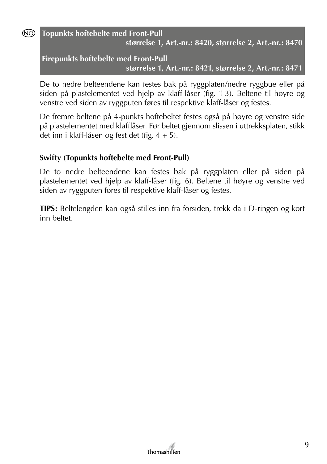NO)

**Topunkts hoftebelte med Front-Pull størrelse 1, Art.-nr.: 8420, størrelse 2, Art.-nr.: 8470**

# **Firepunkts hoftebelte med Front-Pull størrelse 1, Art.-nr.: 8421, størrelse 2, Art.-nr.: 8471**

De to nedre belteendene kan festes bak på ryggplaten/nedre ryggbue eller på siden på plastelementet ved hjelp av klaff-låser (fig. 1-3). Beltene til høyre og venstre ved siden av ryggputen føres til respektive klaff-låser og festes.

De fremre beltene på 4-punkts hoftebeltet festes også på høyre og venstre side på plastelementet med klafflåser. Før beltet gjennom slissen i uttrekksplaten, stikk det inn i klaff-låsen og fest det (fig. 4 + 5).

# **Swifty (Topunkts hoftebelte med Front-Pull)**

De to nedre belteendene kan festes bak på ryggplaten eller på siden på plastelementet ved hjelp av klaff-låser (fig. 6). Beltene til høyre og venstre ved siden av ryggputen føres til respektive klaff-låser og festes.

**TIPS:** Beltelengden kan også stilles inn fra forsiden, trekk da i D-ringen og kort inn beltet.

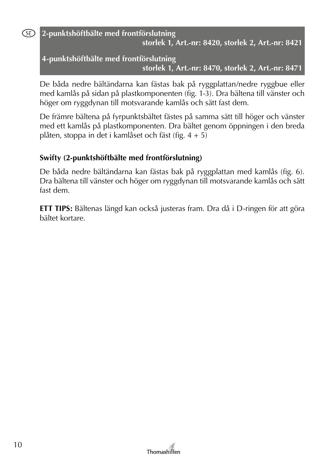(SE)

**2-punktshöftbälte med frontförslutning storlek 1, Art.-nr: 8420, storlek 2, Art.-nr: 8421**

# **4-punktshöftbälte med frontförslutning storlek 1, Art.-nr: 8470, storlek 2, Art.-nr: 8471**

De båda nedre bältändarna kan fästas bak på ryggplattan/nedre ryggbue eller med kamlås på sidan på plastkomponenten (fig. 1-3). Dra bältena till vänster och höger om ryggdynan till motsvarande kamlås och sätt fast dem.

De främre bältena på fyrpunktsbältet fästes på samma sätt till höger och vänster med ett kamlås på plastkomponenten. Dra bältet genom öppningen i den breda plåten, stoppa in det i kamlåset och fäst (fig. 4 + 5)

# **Swifty (2-punktshöftbälte med frontförslutning)**

De båda nedre bältändarna kan fästas bak på ryggplattan med kamlås (fig. 6). Dra bältena till vänster och höger om ryggdynan till motsvarande kamlås och sätt fast dem.

**ETT TIPS:** Bältenas längd kan också justeras fram. Dra då i D-ringen för att göra bältet kortare.

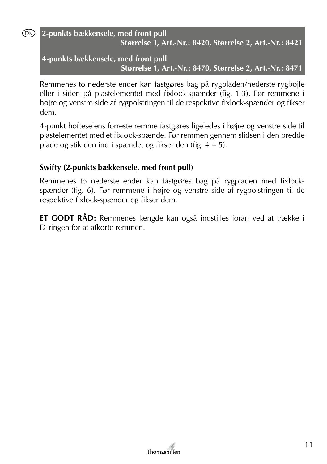#### (DK)

# **2-punkts bækkensele, med front pull Størrelse 1, Art.-Nr.: 8420, Størrelse 2, Art.-Nr.: 8421**

**4-punkts bækkensele, med front pull Størrelse 1, Art.-Nr.: 8470, Størrelse 2, Art.-Nr.: 8471**

Remmenes to nederste ender kan fastgøres bag på rygpladen/nederste rygbøjle eller i siden på plastelementet med fixlock-spænder (fig. 1-3). Før remmene i højre og venstre side af rygpolstringen til de respektive fixlock-spænder og fikser dem.

4-punkt hofteselens forreste remme fastgøres ligeledes i højre og venstre side til plastelementet med et fixlock-spænde. Før remmen gennem slidsen i den bredde plade og stik den ind i spændet og fikser den (fig. 4 + 5).

# **Swifty (2-punkts bækkensele, med front pull)**

Remmenes to nederste ender kan fastgøres bag på rygpladen med fixlockspænder (fig. 6). Før remmene i højre og venstre side af rygpolstringen til de respektive fixlock-spænder og fikser dem.

**ET GODT RÅD:** Remmenes længde kan også indstilles foran ved at trække i D-ringen for at afkorte remmen.